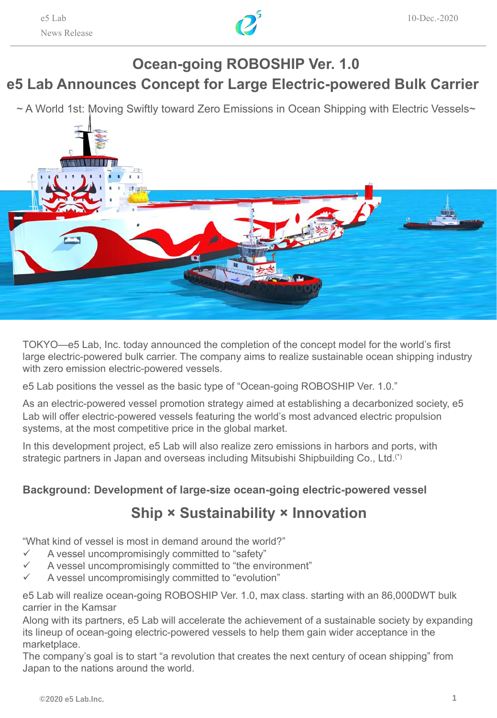

# **e5 Lab Announces Concept for Large Electric-powered Bulk Carrier Ocean-going ROBOSHIP Ver. 1.0**

~ A World 1st: Moving Swiftly toward Zero Emissions in Ocean Shipping with Electric Vessels~



TOKYO—e5 Lab, Inc. today announced the completion of the concept model for the world's first large electric-powered bulk carrier. The company aims to realize sustainable ocean shipping industry with zero emission electric-powered vessels.

e5 Lab positions the vessel as the basic type of "Ocean-going ROBOSHIP Ver. 1.0."

As an electric-powered vessel promotion strategy aimed at establishing a decarbonized society, e5 Lab will offer electric-powered vessels featuring the world's most advanced electric propulsion systems, at the most competitive price in the global market.

In this development project, e5 Lab will also realize zero emissions in harbors and ports, with strategic partners in Japan and overseas including Mitsubishi Shipbuilding Co., Ltd.(\*)

#### **Background: Development of large-size ocean-going electric-powered vessel**

## **Ship × Sustainability × Innovation**

"What kind of vessel is most in demand around the world?"

- $\checkmark$  A vessel uncompromisingly committed to "safety"
- A vessel uncompromisingly committed to "the environment"
- A vessel uncompromisingly committed to "evolution"

e5 Lab will realize ocean-going ROBOSHIP Ver. 1.0, max class. starting with an 86,000DWT bulk carrier in the Kamsar

Along with its partners, e5 Lab will accelerate the achievement of a sustainable society by expanding its lineup of ocean-going electric-powered vessels to help them gain wider acceptance in the marketplace.

The company's goal is to start "a revolution that creates the next century of ocean shipping" from Japan to the nations around the world.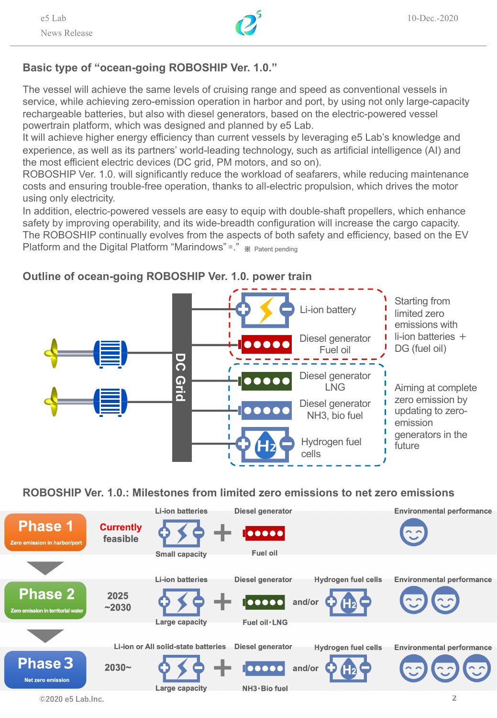

### **Basic type of "ocean-going ROBOSHIP Ver. 1.0."**

The vessel will achieve the same levels of cruising range and speed as conventional vessels in service, while achieving zero-emission operation in harbor and port, by using not only large-capacity rechargeable batteries, but also with diesel generators, based on the electric-powered vessel powertrain platform, which was designed and planned by e5 Lab.

It will achieve higher energy efficiency than current vessels by leveraging e5 Lab's knowledge and experience, as well as its partners' world-leading technology, such as artificial intelligence (AI) and the most efficient electric devices (DC grid, PM motors, and so on).

ROBOSHIP Ver. 1.0. will significantly reduce the workload of seafarers, while reducing maintenance costs and ensuring trouble-free operation, thanks to all-electric propulsion, which drives the motor using only electricity.

In addition, electric-powered vessels are easy to equip with double-shaft propellers, which enhance safety by improving operability, and its wide-breadth configuration will increase the cargo capacity. The ROBOSHIP continually evolves from the aspects of both safety and efficiency, based on the EV Platform and the Digital Platform "Marindows" \*." \* Patent pending



## **Outline of ocean-going ROBOSHIP Ver. 1.0. power train**

**ROBOSHIP Ver. 1.0.: Milestones from limited zero emissions to net zero emissions**